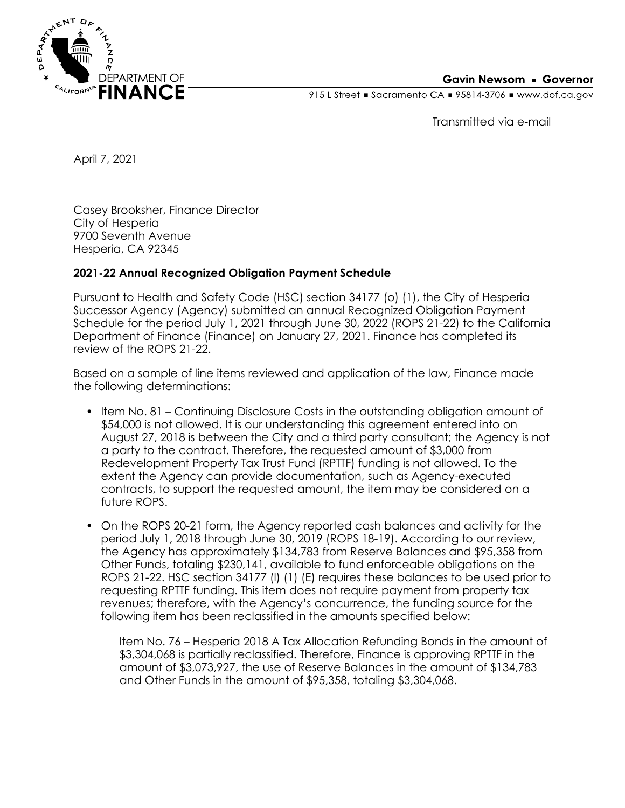

### **Gavin Newsom • Governor**

915 L Street Gacramento CA = 95814-3706 Www.dof.ca.gov

Transmitted via e-mail

April 7, 2021

Casey Brooksher, Finance Director City of Hesperia 9700 Seventh Avenue Hesperia, CA 92345

## **2021-22 Annual Recognized Obligation Payment Schedule**

Pursuant to Health and Safety Code (HSC) section 34177 (o) (1), the City of Hesperia Successor Agency (Agency) submitted an annual Recognized Obligation Payment Schedule for the period July 1, 2021 through June 30, 2022 (ROPS 21-22) to the California Department of Finance (Finance) on January 27, 2021. Finance has completed its review of the ROPS 21-22.

Based on a sample of line items reviewed and application of the law, Finance made the following determinations:

- Item No. 81 Continuing Disclosure Costs in the outstanding obligation amount of \$54,000 is not allowed. It is our understanding this agreement entered into on August 27, 2018 is between the City and a third party consultant; the Agency is not a party to the contract. Therefore, the requested amount of \$3,000 from Redevelopment Property Tax Trust Fund (RPTTF) funding is not allowed. To the extent the Agency can provide documentation, such as Agency-executed contracts, to support the requested amount, the item may be considered on a future ROPS.
- On the ROPS 20-21 form, the Agency reported cash balances and activity for the period July 1, 2018 through June 30, 2019 (ROPS 18-19). According to our review, the Agency has approximately \$134,783 from Reserve Balances and \$95,358 from Other Funds, totaling \$230,141, available to fund enforceable obligations on the ROPS 21-22. HSC section 34177 (l) (1) (E) requires these balances to be used prior to requesting RPTTF funding. This item does not require payment from property tax revenues; therefore, with the Agency's concurrence, the funding source for the following item has been reclassified in the amounts specified below:

Item No. 76 – Hesperia 2018 A Tax Allocation Refunding Bonds in the amount of \$3,304,068 is partially reclassified. Therefore, Finance is approving RPTTF in the amount of \$3,073,927, the use of Reserve Balances in the amount of \$134,783 and Other Funds in the amount of \$95,358, totaling \$3,304,068.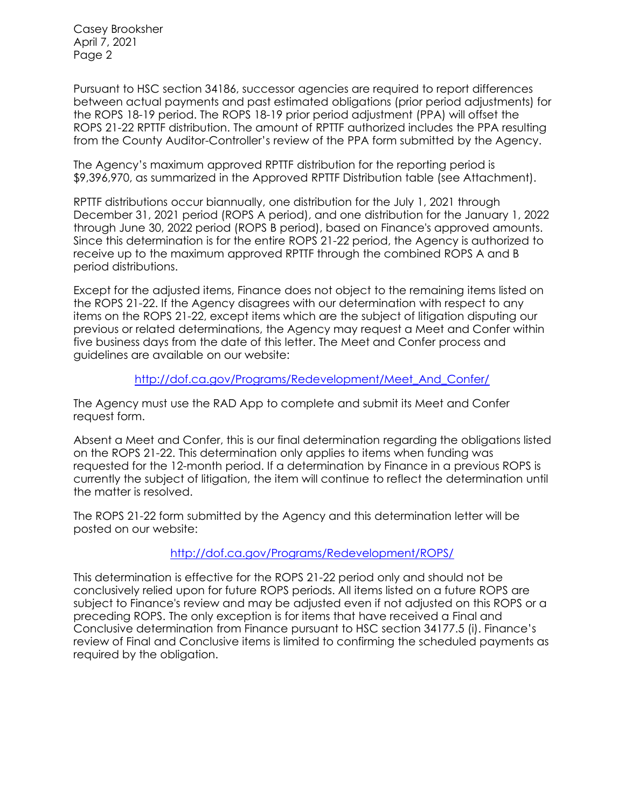Casey Brooksher April 7, 2021 Page 2

Pursuant to HSC section 34186, successor agencies are required to report differences between actual payments and past estimated obligations (prior period adjustments) for the ROPS 18-19 period. The ROPS 18-19 prior period adjustment (PPA) will offset the ROPS 21-22 RPTTF distribution. The amount of RPTTF authorized includes the PPA resulting from the County Auditor-Controller's review of the PPA form submitted by the Agency.

The Agency's maximum approved RPTTF distribution for the reporting period is \$9,396,970, as summarized in the Approved RPTTF Distribution table (see Attachment).

RPTTF distributions occur biannually, one distribution for the July 1, 2021 through December 31, 2021 period (ROPS A period), and one distribution for the January 1, 2022 through June 30, 2022 period (ROPS B period), based on Finance's approved amounts. Since this determination is for the entire ROPS 21-22 period, the Agency is authorized to receive up to the maximum approved RPTTF through the combined ROPS A and B period distributions.

Except for the adjusted items, Finance does not object to the remaining items listed on the ROPS 21-22. If the Agency disagrees with our determination with respect to any items on the ROPS 21-22, except items which are the subject of litigation disputing our previous or related determinations, the Agency may request a Meet and Confer within five business days from the date of this letter. The Meet and Confer process and guidelines are available on our website:

### [http://dof.ca.gov/Programs/Redevelopment/Meet\\_And\\_Confer/](http://dof.ca.gov/Programs/Redevelopment/Meet_And_Confer/)

The Agency must use the RAD App to complete and submit its Meet and Confer request form.

Absent a Meet and Confer, this is our final determination regarding the obligations listed on the ROPS 21-22. This determination only applies to items when funding was requested for the 12-month period. If a determination by Finance in a previous ROPS is currently the subject of litigation, the item will continue to reflect the determination until the matter is resolved.

The ROPS 21-22 form submitted by the Agency and this determination letter will be posted on our website:

## <http://dof.ca.gov/Programs/Redevelopment/ROPS/>

This determination is effective for the ROPS 21-22 period only and should not be conclusively relied upon for future ROPS periods. All items listed on a future ROPS are subject to Finance's review and may be adjusted even if not adjusted on this ROPS or a preceding ROPS. The only exception is for items that have received a Final and Conclusive determination from Finance pursuant to HSC section 34177.5 (i). Finance's review of Final and Conclusive items is limited to confirming the scheduled payments as required by the obligation.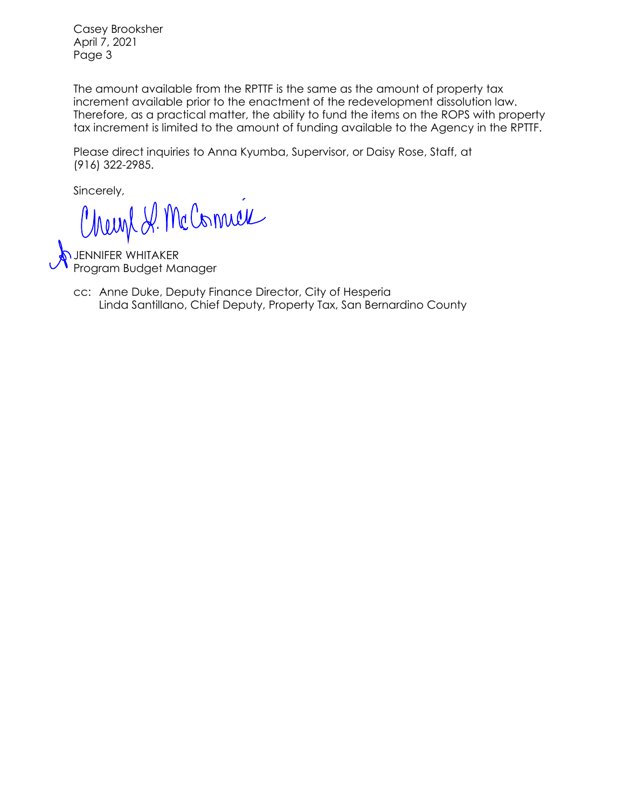Casey Brooksher April 7, 2021 Page 3

The amount available from the RPTTF is the same as the amount of property tax increment available prior to the enactment of the redevelopment dissolution law. Therefore, as a practical matter, the ability to fund the items on the ROPS with property tax increment is limited to the amount of funding available to the Agency in the RPTTF.

Please direct inquiries to Anna Kyumba, Supervisor, or Daisy Rose, Staff, at (916) 322-2985.

Sincerely,

JENNIFER WHITAKER Program Budget Manager

Linda Santillano, Chief Deputy, Property Tax, San Bernardino County cc: Anne Duke, Deputy Finance Director, City of Hesperia